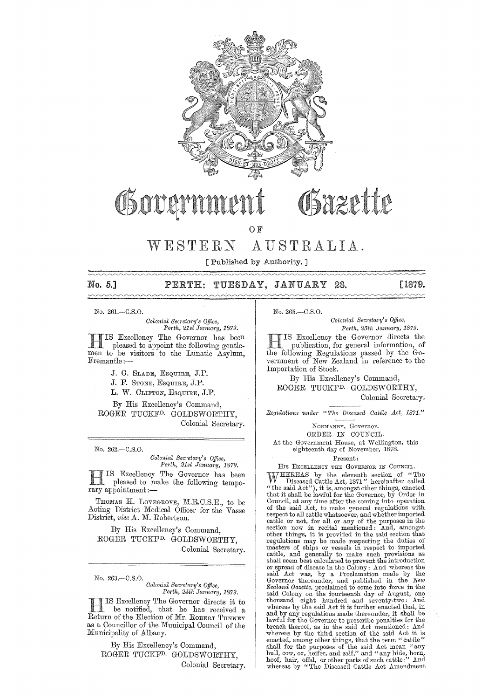

### Govarn Bazette

O<sub>F</sub>

# WESTERN AUSTRALIA.

[Published by Authority.]

# mmm

#### No. 5,] PERTH: TUESDAY, JANUARY 28. [1879.

No. 261.-C.S.O.

*Colonial Secretary's Office, Perth, 21st January, 1879.* 

H IS Excellency The Governor has been pleased to appoint the following gentlemen to be visitors to the Lunatic Asylum,<br>Fremantle:-

> J. G. SLADE, ESQUIRE, J.P. J. F. STONE, ESQUIRE, J.P. L. W. CLIFTON, ESQUIRE, J.P.

By His Excellency's Command, ROGER TUCKFD. GOLDSWORTHY, Colonial Secretary.

No. 262.-C.S.0.

*Colonial Secl'ela?'Y's Office, Perth, 21st Jamta?'Y, 1879.* 

IS Excellency The Governor has been pleased to make the following temporary appointment:-

THOMAS H. LOVEGROVE, M.R.C.S.E., to be Acting District Medical Officer for the Vasse District, *vice* A. M. Robertson.

By His Excelleney's Command, ROGER TUCKF<sup>D.</sup> GOLDSWORTHY, Colonial Secretary.

No. 263.-C.S.0.

*Colonial Sec?'eta?'y's Office,*  Perth, 24th January, 1879.

H IS Excellency The Governor directs it to be notified, that he has received a Return of the Election of Mr. ROBERT TUNNEY as a Councillor of the Municipal Council of the Municipality of Albany.

By His Excellency's Command, ROGER TUCKFD. GOLDSWORTHY, Colonial Secretary. No. 265.-C.S.0.

*Colonial Secretary's Office, Perth, 25th January, 1879.* 

H IS Excellency the Governor directs the publication, for general information, of the following Regulations passed by the Government of New Zealand in reference to the Importation of Stock.

By His Excellency's Command, ROGER TUCKFD. GOLDSWORTHY, Colonial Secretary.

*Regulations under "The Diseased Cattle Act, 1871."* 

NORMANBY, Governor.

ORDER IN CODNCIL.

At the Government House, at Wellington, this eighteenth day of November, 1878.

Present:

HIS EXCELLENCY THE GOVERNOR IN COUNCIL.

WHEREAS by the eleventh section of "The Diseased Cattle Act, 1871" hereinafter called<br>"the said Act"), it is, amongst other things, enacted<br>that it shall be lawful for the Governor, by Order in<br>Council, at any time after t of the said Act, to make general regulations with respect to all cattle whatsoever, and whether imported cattle or not, for all or any of the purposes in the section now in recital mentioned: And, amongst other things, it is provided in the said section that regulations may be made respecting the duties of masters of ships or cattle, and generally to make such provisions as shall seem best calculated to prevent the introduction said Act was, by a Proclamation made by the Governor thereunder, and published in the *New Zealand Gazette,* proclaimed to come into force in the said Colony on the fourteenth day of August, one thousand eight hundred and seventy-two: And whereas by the said Act it is further enacted that, in and by any regulations made thereunder, it shall be lawful for the Governor to prescribe penalties for the breach thereof, as in the said Act mentioned: And whereas by the third section of the said Act it is enacted, among other things, that the term "cattle" shall for the purposes of the said Act mean "any bull, cow, ox, heifer, and calf," and "any hide, horn, hoof, hair, offal, or other parts of such cattle:" And whereas by "The Diseased Cattle Act Amendment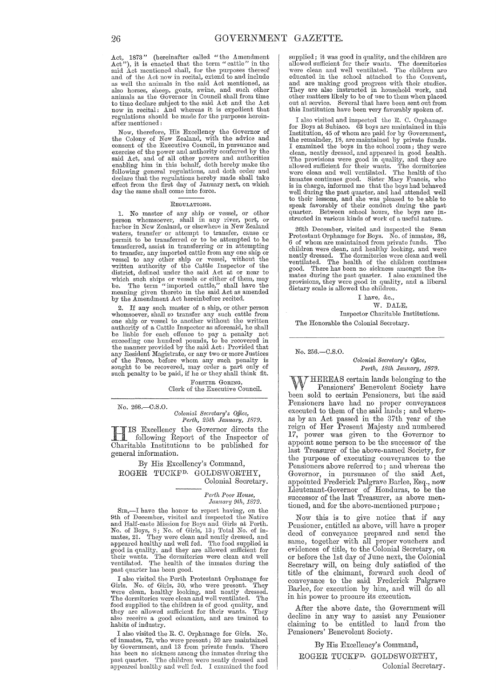Act, 1873" (hereinafter called "the Amendment Act"), it is enacted that the term "cattle" in the said Act mentioned shall, for the purposes thereof and of the Act now in recital, extend to and include as well the animals in the said Act mentioned, as also horses, sheep, goats, swine, and such other animals as the Governor in Council shall from time to time declare subject to the said Act and the Act now in recital: And whereas it is expedient that regulations should be made for the purposes hereinafter mentioned:

Now, therefore, His Excellency the Governor of the Colony of New Zealand, with the advice and consent of the Executive Council, in pursuance and exercise of the power and authority conferred by the said Act, and of all other powers and authorities enabling him in this behalf, doth hereby make the following general regulations, and doth order and declare that the regulations hereby made shall take effect from the first day of January next, on which day the same shall come into force.

#### REGULATIONS.

1. No master of any ship or vessel, or other person whomsoever, shall in any river, port, or harbor in New Zealand, or elsewhere in New Zealand<br>waters, transfer' or attempt to transfer, cause or<br>permit to be transferred or to be attempted to be<br>transferred, assist in transferring or in attempting<br>to transfer, any meaning given thereto in the said Act as amended by the Amendment Act hereinbefore recited.

2. If any such master of a ship, or other person whomsoever, shall so transfer any such cattle from<br>one ship or vessel to another without the written<br>authority of a Cattle Inspector as aforesaid, he shall<br>be liable for each offence to pay a penalty not<br>exceeding one hund any Resident Magistrate, or any two or more Justices of the Peace, before whom any sueh penalty is sought to be recovered, may order a part only of such penalty to be paid, if he or they shall think fit.

> FORSTER GORING, Clerk of the Executive Council.

No. 266.-C.S.O. *Colonial Secretary's Office,*<br>Perth, 25th January, 1879.

III IS Excellency the Governor directs the<br>following Report of the Inspector of IS Excellency the Governor directs the Charitable Institutions to be published for general information.

By His Excellency's Command, ROGER TUCKFD. GOLDSWORTHY, Colonial Secretary.

> $Perth$  Poor House, *Jam!aTY 9th, 1879.*

STR,—I have the honor to report having, on the 9th of December, visited and inspected the Native and Half-caste Mission for Boys and Girls at Perth. No. of Boys, 8; No. of Girls, 13; Total No. of in-mates, 21. They were cl good in quality, and they were clean and well<br>their wants. The health of the inmates during the<br> $\frac{1}{2}$  the inflator and  $\frac{1}{2}$  the inflator and  $\frac{1}{2}$  the inflator and  $\frac{1}{2}$  the inflator and  $\frac{1}{2}$  the infl past quarter has been good.

I also visited the Perth Protestant Orphanage for Girls. No. of Girls, 30, who were present. They wore clean, healthy looking, and neatly dressed. The dormitories were clelm and well ventilated. The food supplied to the children is of good quality, and they are allowed sufficient for their wants. They also receive a good education, and are trained to habits of industry.

I also visited the R. C. Orphanage for Girls. No.<br>of inmates, 72, who were present; 59 are maintained<br>by Government, and 13 from private funds. There<br>has been no sickness among the inmates during the<br>past quarter. The chil appeared healthy and well fed. I examined the food supplied; it was good in quality, and the children are allowed sufficient for their wants. The dormitories were clean and well ventilated. The children are educated in the school attached to the Convent, and are making good progress with their studies. They are also instructed in household work, and other matters likely to be of use to them when placed out at service. Several that have been sent out from this Institution have been very favorably spoken of.

I also visited and inspected the R. C. Orphanage for Boys at Subiaeo. 63 boys are maintained in this Institution, 45 of whom are paid for by Government, the remainder, 18, are maintained by private funds.<br>I examined the boys in the school room; they were<br>clean, neatly dressed, and appeared in good health.<br>The provisions were good in quality, and they are<br>allowed sufficient well during the past quarter, and had attended well to their lessons, and she was pleased to be able to speak favorably of their conduct during the past quarter. Between school hours, the boys are instructed in various kinds of work of a useful nature.

26th December, visited and inspected the Swan Protestant Orphanage for Boys. No. of inmates, 36, 6 of whom are maintained from private funds. The children were clean, and healthy looking, and were neatly dressed. The dormitories were clean and well ventilated. The health of the children continues good. There has been no sickness amongst the inmates during the past quarter. I also examined the l)rovisions, they were good in quality, and a liberal dietary scale is allowed the children.

I have, &c., W. DALE, Inspector Charitable Institutions. The Honorable the Colonial Secretary.

No. 256.-C.S.0.

 ${\it Colonial}$  Secretary's Office, *Perth, 18th January, 1879.* 

WHEREAS certain lands belonging to the Pensioners' Benevolent Society have been sold to certain Pensioners, but the said Pensioners have had no proper conveyances executed to them of the said lands; and whereas by an Act passed iu the 37th year of the reign of Her Present Majesty and numbered 17, power was given to the Governor to appoint some person to be the successor of the last Treasurer of the above-named Society, for the purpose of executing conveyances to the Pensioners above referred to; and whereas the Governor, in pursuance of the said Act, appointed Frederick Palgrave Barlee, Esq., now Lieutenant-Governor of Honduras, to be the successor of the last Treasurer, as above mentioned, and for the above-mentioned purpose;

Now this is to give notice that if any Pensioner, entitled as above, will have a proper deed of conveyance prepared and send the same, together with all proper vouchers and evidences of title, to the Oolonial Secretary, on or before the 1st day of June next, the Oolonial Secretary will, on being duly satisfied of the title of the claimant, forward such deed of conveyance to the said Frederick Palgrave Barlee, for execution by him, and will do all in his power to procure its execution.

After the above date, the Government will decline in any way to assist any Pensioner claiming to be entitled to land from the Pensioners' Benevolent Society.

By His Excellency's Command, ROGER TUCKFD. GOLDSWORTHY, Oolonial Secretary.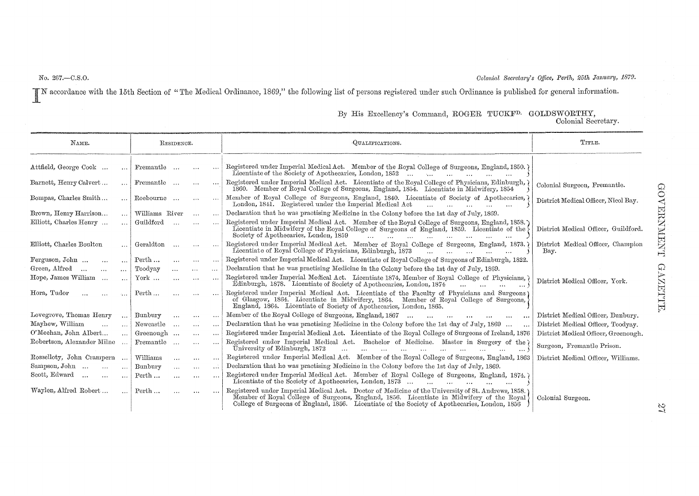No. 267.-C.S.O.

Colonial Secretary's Office, Perth, 25th January, 1879.

IN accordance with the 15th Section of "The Medical Ordinance, 1869," the following list of persons registered under such Ordinance is published for general information.

| NAME.                                 |                      | RESIDENCE.            |                           |                                           |                      | QUALIFICATIONS.                                                                                                                                                                                                                                                                                                                                              | TITLE.                                     |  |
|---------------------------------------|----------------------|-----------------------|---------------------------|-------------------------------------------|----------------------|--------------------------------------------------------------------------------------------------------------------------------------------------------------------------------------------------------------------------------------------------------------------------------------------------------------------------------------------------------------|--------------------------------------------|--|
| Attfield, George Cook                 | .                    | Fremantle             |                           | $\ldots$                                  |                      | Registered under Imperial Medical Act. Member of the Royal College of Surgeons, England, 1850. 7<br>Licentiate of the Society of Apothecaries, London, 1852<br>$\mathcal{L}(\mathbf{r}, \mathbf{r}) = \mathcal{L}(\mathbf{r}, \mathbf{r}) = \mathcal{L}(\mathbf{r}, \mathbf{r}) = \mathcal{L}(\mathbf{r}, \mathbf{r}) = \mathcal{L}(\mathbf{r}, \mathbf{r})$ |                                            |  |
| Barnett, Henry Calvert                |                      | Fremantle             |                           | $\cdots$                                  | $\cdots$             | Registered under Imperial Medical Act. Licentiate of the Royal College of Physicians, Edinburgh,<br>1860. Member of Royal College of Surgeons, England, 1854. Licentiate in Midwifery, 1854                                                                                                                                                                  | Colonial Surgeon, Fremantle.               |  |
| Bompas, Charles Smith                 | $\ddotsc$            | Roebourne             |                           | $\sim 100$                                |                      | Member of Royal College of Surgeons, England, 1840. Licentiate of Society of Apothecaries,<br>London, 1841. Registered under the Imperial Medical Act                                                                                                                                                                                                        | District Medical Officer, Nicol Bay.       |  |
| Brown, Henry Harrison                 |                      | Williams River        | $\sim$ $\sim$<br>$\cdots$ |                                           |                      | Declaration that he was practising Medicine in the Colony before the 1st day of July, 1869.                                                                                                                                                                                                                                                                  |                                            |  |
| Elliott, Charles Henry                | $\ldots$             | Guildford             |                           | $\cdots$                                  | $\overline{a}$       | Registered under Imperial Medical Act. Member of the Royal College of Surgeons, England, 1858.)<br>Licentiate in Midwifery of the Royal College of Surgeons of England, 1859. Licentiate of the<br>Society of Apothecaries, London, 1859<br>$\mathbf{A}$                                                                                                     | District Medical Officer, Guildford.       |  |
| Elliott, Charles Boulton              | $\ddotsc$            | Geraldton             | $\cdots$                  | $\cdots$                                  |                      | Registered under Imperial Medical Act. Member of Royal College of Surgeons, England, 1873.<br>Licentiate of Royal College of Physicians, Edinburgh, 1873                                                                                                                                                                                                     | District Medical Officer, Champion<br>Bay. |  |
| Ferguson, John<br>$\cdots$            | $\ddotsc$            | Perth                 |                           | $\sim 100$                                | $\sim$ $\sim$ $\sim$ | Registered under Imperial Medical Act. Licentiate of Royal College of Surgeons of Edinburgh, 1822.                                                                                                                                                                                                                                                           |                                            |  |
| Green, Alfred<br>$\sim$<br>$\sim$     | $\cdots$             | Toodyay               | $\cdots$                  | $\cdots$                                  | $\cdots$             | Declaration that he was practising Medicine in the Colony before the 1st day of July, 1869.                                                                                                                                                                                                                                                                  |                                            |  |
| Hope, James William                   | $\ddotsc$            | $\operatorname{York}$ | $\cdots$                  | $\cdots$                                  | $\cdots$             | Registered under Imperial Medical Act. Licentiate 1874, Member of Royal College of Physicians,<br>Edinburgh, 1878. Licentiate of Society of Apothecaries, London, 1874.<br>$\ddotsc$<br>$\cdots$ .                                                                                                                                                           | District Medical Officer, York.            |  |
| Hora, Tudor<br>$\cdots$               | $\sim$ .             | Perth                 |                           | $\sim$ - $\sim$                           | $\cdots$             | Registered under Imperial Medical Act. Licentiate of the Faculty of Physicians and Surgeons)<br>of Glasgow, 1864. Licentiate in Midwifery, 1864. Member of Royal College of Surgeons,<br>England, 1864. Licentiate of Society of Apothecaries, London, 1865.                                                                                                 |                                            |  |
| Lovegrove, Thomas Henry               | $\cdots$             | Bunbury               | $\cdots$                  | $\rightarrow$ $\rightarrow$ $\rightarrow$ | $\sim$ $\sim$        | Member of the Royal College of Surgeons, England, 1867<br>$\cdots$<br>$\mathbf{A}$<br>$\ddotsc$                                                                                                                                                                                                                                                              | District Medical Officer, Bunbury,         |  |
| Mayhew, William                       | $\ddotsc$            | Newcastle             | $\cdots$                  | $\sim 100$                                | $\cdots$             | Declaration that he was practising Medicine in the Colony before the 1st day of July, 1869                                                                                                                                                                                                                                                                   | District Medical Officer, Toodyay.         |  |
| O'Meehan, John Albert                 | $\cdots$             | Greenough             |                           | $\sim$ $\sim$                             | $\cdots$             | Registered under Imperial Medical Act. Licentiate of the Royal College of Surgeons of Ireland, 1876                                                                                                                                                                                                                                                          | District Medical Officer, Greenough.       |  |
| Robertson, Alexander Milne            |                      | Fremantle             |                           | $\sim$ $\sim$                             | $\sim$ $\sim$        | Registered under Imperial Medical Act. Bachelor of Medicine. Master in Surgery of the<br>University of Edinburgh, 1872<br>$\cdots$ :                                                                                                                                                                                                                         | Surgeon, Fremantle Prison.                 |  |
| Rosselloty, John Crampern             | $\sim$               | Williams              | $\cdots$                  | $\ldots$                                  |                      | Registered under Imperial Medical Act. Member of the Royal College of Surgeons, England, 1863                                                                                                                                                                                                                                                                | District Medical Officer, Williams.        |  |
| Sampson, John<br>$\ldots$             | $\sim$ $\sim$        | Bunbury               | $\cdots$                  | $\cdots$                                  | $\cdots$             | Declaration that he was practising Medicine in the Colony before the 1st day of July, 1869.                                                                                                                                                                                                                                                                  |                                            |  |
| Scott, Edward<br>$\cdots$<br>$\cdots$ | $\sim$ $\sim$ $\sim$ | Perth                 | $\cdots$                  | $\cdots$                                  | $\cdots$             | Registered under Imperial Medical Act. Member of Royal College of Surgeons, England, 1874.<br>Licentiate of the Society of Apothecaries, London, 1873<br>and the state of the state of the state of<br>$\sim$ $\sim$                                                                                                                                         |                                            |  |
| Waylen, Alfred Robert                 | $\cdots$             | Perth                 | $\cdots$                  | $\bullet$ $\bullet$ $\bullet$             |                      | Registered under Imperial Medical Act. Doctor of Medicine of the University of St. Andrews, 1858.)<br>Member of Royal College of Surgeons, England, 1856. Licentiate in Midwifery of the Royal<br>College of Surgeons of England, 1856. Licentiate of the Society of Apothecaries, London, 1856                                                              | Colonial Surgeon.                          |  |

# By His Excellency's Command, ROGER TUCKF<sup>D.</sup> GOLDSWORTHY, Colonial Secretary.

 $\mathfrak{Z}$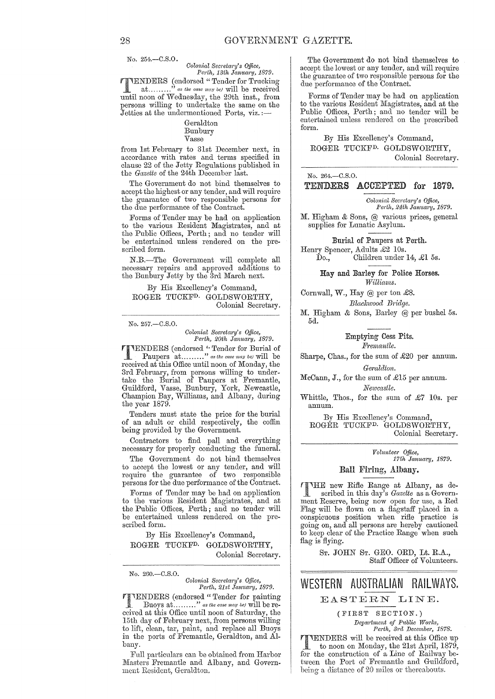No. 254.-C.S.O.

*Oolonial Secl'etal'y's Office, Porth, 13th January, 1879.* 

TTENDERS (endorsed "Tender for Trucking<br>at........." as the case may be will be received as the case may be) will be received until noon of Wednesday, the 29th inst., from persons willing to undertake the same on the Jetties at the undermentioned Ports, viz.:-

> Geraldton Bunbury Vasse

from 1st February to 31st December next, in accordance with rates and terms specified in clause 22 of the Jetty Regulations published in the *Gazette* of the 24th December last.

The Government do not bind themselves to accept the highest or any tender, and will require the guarantee of two responsible persons for the due performance of the Contract.

Forms of Tender may be had on application to the various Resident Magistrates, and at the Public Offices, Perth; and no tender will be entertained unless rendered on the prescribed form.

N.B.-The Government will complete all necessary repairs and approved additions to the Bunbury Jetty by the 3rd March next.

By His Excellency's Command, ROGER TUCKFD. GOLDSWORTHY, Colonial Secretary.

#### No. 257.-C.S.O.

*Oolonial Sem'etal'y's Office, Perth, 20th January, 1879.* 

**THENDERS** (endorsed "Tender for Burial of Paupers at ........." as the case may be) will be received at this Office until noon of Monday, the 3rd February, from persons willing to undertake the Burial of Paupers at Fremantle, Guildford, Vasse, Bunbury, York, Newcastle, Champion Bay, Williams, and Albany, during the year 1879.

Tenders must state the price for the burial of an adult or child respectively, the coffin being provided by the Government.

Contractors to find pall and everything necessary for properly condncting the funeral.

The Government do not bind themselves to accept the lowest or any tender, and will require the guarantee of two responsible l)ersons for the due performance of the Contract.

Forms of Tender may be had on application to the various Resident Magistrates, and at the Public Offices, Perth; and no tender will be entertained unless rendered on the prescribed form.

By His Excellency's Command, ROGER TUCKFD. GOLDSWORTHY, Colonial Secretary.

No. 260.-C.S.O.

*Oolonial Secretary's Office,*  Perth, 21st January, 1879.

TENDERS (endorsed "Tender for painting<br>Buoys at........." as the case may be) will be received at this Office until noon of Saturday, the 15th day of February next, from persons willing to lift, clean, tar, paint, and replace all Buoys in the ports of Fremantle, Geraldton, and Albany.

Full particulars can be obtained from Harbor Masters Fremantle and Albany, and Government Resident, Geraldton.

The Government do not bind themselves to accept the lowest or any tender, and will require the guarantee of two responsible persons for the due performance of the Contract.

Forms of Tender may be had on application to the various Resident Magistrates, and at the Public Offices, Perth; and no tender will be entertained unless rendered on the prescribed form.

By His Excellency's Command, ROGER TUCKFD. GOLDSWORTHY, Colonial Secretary.

No. 264.-C.S.O.

#### TENDERS ACCEPTED for 1879.

*Colonial Secretary's Office,* Perth, 24th January, 1879.

M. Higham & Sons, @ various prices, general supplies for Lunatic Asylum.

Burial of Paupers at Perth. Henry Spencer, Adults £2 10s.  $\overrightarrow{\text{Do}}$ , Children under 14, £1 5s.

Hay and Barley for Police Horses. *Williams.* 

Cornwall, W., Hay @ per ton £8. *BZackwoocl BTidge.* 

M. Higham & Sons, Barley @ per bushel 5s. 5d.

> Emptying Cess Pits. *Fremnntle.*

Sharpe, Chas., for the sum of £20 per annum.

 $Geraldton.$ 

McCann, J., for the sum of £15 per annum. *Newcastle.* 

Whittle, Thos., for the sum of £7 10s. per annum.

By His Excellency's Command, ROGER TUCKFD. GOLDSWORTHY, Colonial Secretary.

> *Volunteel' Office,*  17th January, 1879.

#### Ball Firing, Albany.

THE new Rifle Range at Albany, as de-<br>scribed in this day's *Gazette* as a Government Reserve, being now open for use, a Red Flag will be flown on a flagstaff placed in a conspicuous position when rifle practice is going on, and all persons are hereby cautioned to keep clear of the Practice Range when such flag is flying.

> ST. JOHN ST. GEO. ORD, Lt. R.A., Staff Officer of Volunteers.

### WESTERN AUSTRALIAN RAILWAYS. EASTERN LINE.

(FIRST SECTION.)

*Department of Public Works, Perth, 3rd December, 1878.* 

TTENDERS will be received at this Office up<br>to noon on Monday, the 21st April, 1879,<br>for the construction of a Line of Beilway be for the construction of a Line of Railway between the Port of Fremantle and Guildford, being a distance of 20 miles or thereabouts.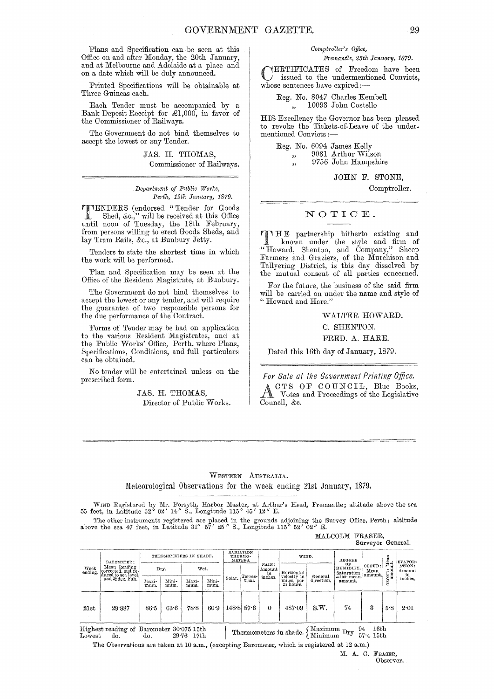Plans and Specification can be seen at this Office on and after Monday, the 20th January, and at Melbourne and Adelaide at a place and on a date which will be duly announced.

Printed Specifications will be obtainable at Three Guineas each.

Each Tender must be accompanied by a Bank Deposit Receipt for £1,000, in favor of the Commissioner of Railways.

The Government do not bind themselves to accept the lowest or any Tender.

> JAS. H. THOMAS, Commissioner of Railways.

 $Department of Public Works,$ *Perth, 19th January, 1879.* 

**TTENDERS** (endorsed "Tender for Goods<br>
Shed, &c.," will be received at this Office<br>
nutil neon of Tuesday, the 18th February until noon of Tuesday, the 18th February, from persons willing to erect Goods Sheds, and lay Tram Rails, &c., at Bunbury Jetty.

Tenders to state the shortest time in which the work will be performed.

Plan and Specification may be seen at the Office of the Resident Magistrate, at Bunbury.

The Government do not bind themselves to accept the lowest or any tender, and will require the guarantee of two responsible persons for the due performance of the Contract.

Forms of Tender may be had on application to the various Resident Magistrates, and at the Public Works' Office, Perth, where Plans, Specifications, Conditions, and full particulars can be obtained.

No tender will be entertained unless on the prescribed form.

> JAS. H. THOMAS, Director of Public Works.

#### *Comptroller's Office, FremantLe, 25th January, 1879.*

CERTIFICATES of Freedom have been issued to the undermentioned Convicts, whose sentences have expired:-

Reg. No. 8047 Charles Kembell ,, 10093 John Costello

HIS Excellency the Governor has been pleased to revoke the Tickets-of-Leave of the undermentioned Convicts :-

Reg. No. 6094 James Kelly ". " 9031 Arthur Wilson 9756 John Hampshire

JOHN F. STONE,

Comptroller.

#### NOTIOE.

T HE partnership hitherto existing and<br>
known under the style and firm of " Roward, Shenton, and Oompany," Sheep Farmers and Graziers, of the Murchison and Tallyering District, is this day dissolved by the mutual consent of all parties concerned.

For the future, the business of the said firm will be carried on under the name and style of " Roward and Hare."

WALTER HOWARD.

C. SHENTON.

FRED. A. HARE.

Dated this 16th day of January, 1879.

*For Sale at the Government Printing Office.*  CTS OF COUNCIL, Blue Books, Votes and Proceedings of the Legislative Council, &c.

#### WESTERN AUSTRALIA. Meteorological Observations for the week ending 21st January, 1879.

WIND Registered by Mr. Forsyth, Harbor Master, at Arthur's Head, Fremantle; altitude above the sea 55 feet, in Latitude 32° 02' 14" S., Longitude 115° 45' 12" E.

The other instruments registered are placed in the grounds adjoining the Survey Office, Perth; altitude above the sea 47 feet, in Latitude 31° 57' 25" S., Longitude 115° 52' 02" E.

# MALCOLM FRASER,

|                 |                                                                                                    |               |               |                        |               |                                 |                                             |                                      |                                                |                           |         | Surveyor General.     |                  |         |
|-----------------|----------------------------------------------------------------------------------------------------|---------------|---------------|------------------------|---------------|---------------------------------|---------------------------------------------|--------------------------------------|------------------------------------------------|---------------------------|---------|-----------------------|------------------|---------|
| Week<br>ending. | <b>BAROMETER:</b><br>Mean Reading<br>corrected, and re-<br>duced to sea level.<br>and 32 deg. Fah. |               |               | THERMOMETERS IN SHADE. |               | RADIATION<br>THERMO-<br>METERS. |                                             |                                      | WIND.                                          |                           | DEGREE  |                       | $:$ Mean<br>aut. | EVAPOR- |
|                 |                                                                                                    | Dry.          |               | Wet.                   |               |                                 | RAIN:<br>Amount<br>in<br>Terres-<br>inches. | Horizontal<br>velocity in<br>General | OF<br>HUMIDITY.<br>Saturation<br>$=100$ : mean | CLOUD:<br>Mean<br>amount. | ONE:    | ATION:<br>Amount<br>m |                  |         |
|                 |                                                                                                    | Maxi-<br>mum. | Mini-<br>mum. | Maxi-<br>mum.          | Mini-<br>mum. | Solar.                          | trial.                                      |                                      | miles, per<br>24 hours.                        | direction.                | amount. |                       | S                | inches. |
| 21st            | 29.887                                                                                             | 86.5          | 63.6          | 78.8                   | 60.9          |                                 | $148.8$ 57.6                                | $\Omega$                             | 487.09                                         | S.W.                      | 74      | 3                     | 5.8              | 2.01    |

Highest reading of Barometer 30'075 15th Lowest do. do. 29'76 17th Thermometers in shade.  $\left\{ \frac{\text{Maximum }Dry \quad 94 \quad 16\text{th}}{57\cdot 4 \quad 15\text{th}} \right.$ 

The Observations are taken at 10 a.m., (excepting Barometer, which is registered at 12 a.m.)

M. A. C. FRASER, Observer.